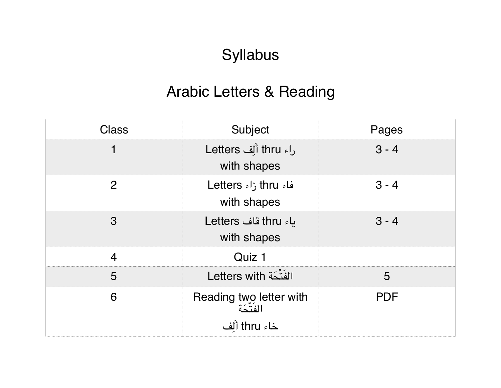## Syllabus

## Arabic Letters & Reading

| Class            | Subject                                             | Pages      |
|------------------|-----------------------------------------------------|------------|
|                  | راء thru أَلِّف Letters<br>with shapes              | $3 - 4$    |
| $\mathcal{P}$    | فاء thru زاء Letters<br>with shapes                 | $3 - 4$    |
| 3                | باء thru قاف Letters<br>with shapes                 | $3 - 4$    |
| $\boldsymbol{4}$ | Quiz 1                                              |            |
| 5                | الفَتْحَة Letters with                              | 5          |
| 6                | Reading two letter with<br>الفتكة<br>خاء thru أَلَف | <b>PDF</b> |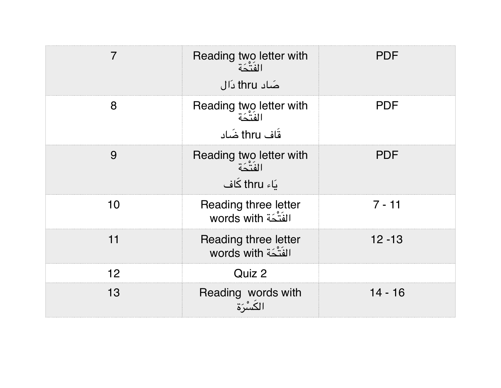| 7  | Reading two letter with<br>الفتحة<br>صَاد thru دَال  | <b>PDF</b> |
|----|------------------------------------------------------|------------|
| 8  | Reading two letter with<br>الفتّحة<br>قَاف thru ضَاد | <b>PDF</b> |
| 9  | Reading two letter with<br>الفتّحة<br>یَاء thru کَاف | <b>PDF</b> |
| 10 | Reading three letter<br>الفَتْحَة words with         | $7 - 11$   |
| 11 | Reading three letter<br>الفَتْحَة words with         | $12 - 13$  |
| 12 | Quiz 2                                               |            |
| 13 | Reading words with<br>الكسْرَة                       | $14 - 16$  |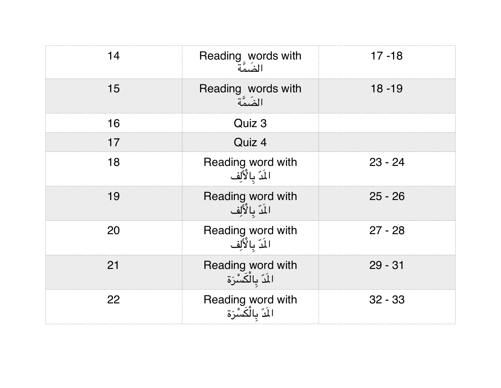| 14 | Reading words with                       | $17 - 18$ |
|----|------------------------------------------|-----------|
| 15 | Reading words with<br>المنهة             | $18 - 19$ |
| 16 | Quiz 3                                   |           |
| 17 | Quiz 4                                   |           |
| 18 | Reading word with<br>المَدّ بِالْأَلِف   | $23 - 24$ |
| 19 | Reading word with<br>المَدّ بِالْأَلِف   | $25 - 26$ |
| 20 | Reading word with<br>المَدّ بالْأَلِف    | $27 - 28$ |
| 21 | Reading word with<br>الَمَّ بِالْكَسْرَة | $29 - 31$ |
| 22 | Reading word with<br>الَدّ بالْكَسْرَة   | $32 - 33$ |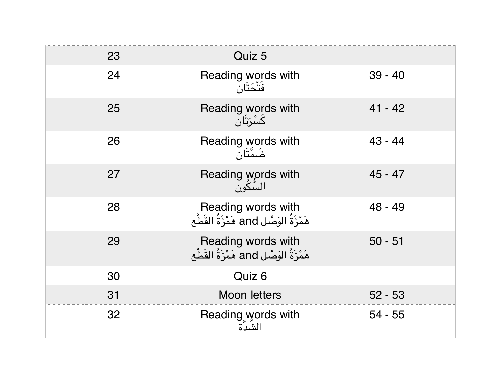| 23 | Quiz 5                                                       |           |
|----|--------------------------------------------------------------|-----------|
| 24 | Reading words with<br>فتْحَتَان                              | $39 - 40$ |
| 25 | Reading words with<br>ݣْسْرَتْان                             | $41 - 42$ |
| 26 | Reading words with<br>ضَمَّتَان                              | $43 - 44$ |
| 27 | Reading words with<br>السّكُون                               | $45 - 47$ |
| 28 | Reading words with<br>هَمْزَةُ الوَصْلِ and هَمْزَةُ القَطْع | $48 - 49$ |
| 29 | Reading words with<br>هَمْزَةُ الوَصْلِ and هَمْزَةُ القَطْع | $50 - 51$ |
| 30 | Quiz 6                                                       |           |
| 31 | <b>Moon letters</b>                                          | $52 - 53$ |
| 32 | Reading words with<br>الشدّة                                 | $54 - 55$ |